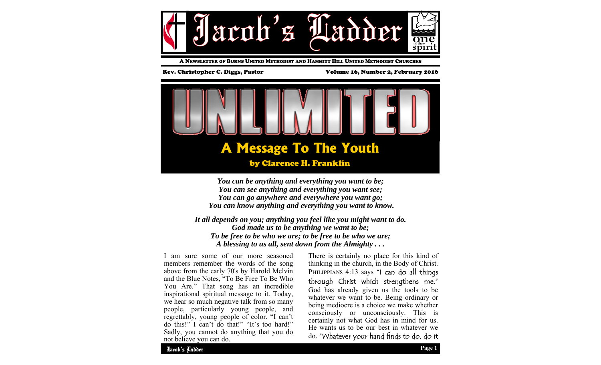

A NEWSLETTER OF BURNS UNITED METHODIST AND HAMMITT HILL UNITED METHODIST CHURCHES

Rev. Christopher C. Diggs, Pastor Volume 16, Number 2, February 2016



*You can be anything and everything you want to be; You can see anything and everything you want see; You can go anywhere and everywhere you want go; You can know anything and everything you want to know.* 

*It all depends on you; anything you feel like you might want to do. God made us to be anything we want to be; To be free to be who we are; to be free to be who we are; A blessing to us all, sent down from the Almighty . . .* 

I am sure some of our more seasoned members remember the words of the song above from the early 70's by Harold Melvin and the Blue Notes, "To Be Free To Be Who You Are." That song has an incredible inspirational spiritual message to it. Today, we hear so much negative talk from so many people, particularly young people, and regrettably, young people of color. "I can't do this!" I can't do that!" "It's too hard!" Sadly, you cannot do anything that you do not believe you can do.

There is certainly no place for this kind of thinking in the church, in the Body of Christ. PHILIPPIANS 4:13 says "I can do all things through Christ which strengthens me." God has already given us the tools to be whatever we want to be. Being ordinary or being mediocre is a choice we make whether consciously or unconsciously. This is certainly not what God has in mind for us. He wants us to be our best in whatever we do. "Whatever your hand finds to do, do it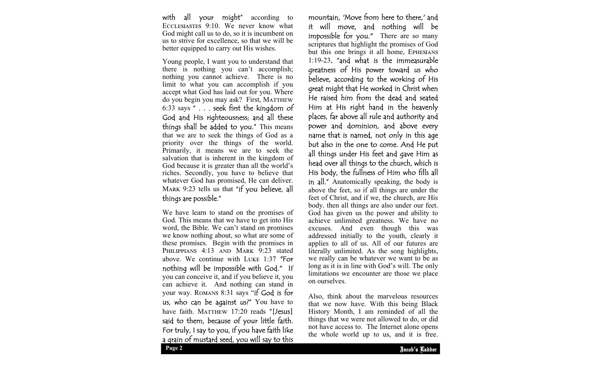with all your might" according to ECCLESIASTES 9:10. We never know what God might call us to do, so it is incumbent on us to strive for excellence, so that we will be better equipped to carry out His wishes.

Young people, I want you to understand that there is nothing you can't accomplish; nothing you cannot achieve. There is no limit to what you can accomplish if you accept what God has laid out for you. Where do you begin you may ask? First, MATTHEW 6:33 says " . . . seek first the kingdom of God and His righteousness; and all these things shall be added to you." This means that we are to seek the things of God as a priority over the things of the world. Primarily, it means we are to seek the salvation that is inherent in the kingdom of God because it is greater than all the world's riches. Secondly, you have to believe that whatever God has promised, He can deliver. MARK 9:23 tells us that "if you believe, all things are possible."

We have learn to stand on the promises of God. This means that we have to get into His word, the Bible. We can't stand on promises we know nothing about, so what are some of these promises. Begin with the promises in PHILIPPIANS 4:13 AND MARK 9:23 stated above. We continue with LUKE  $1:37$  "For nothing will be impossible with God." If you can conceive it, and if you believe it, you can achieve it. And nothing can stand in your way. ROMANS 8:31 says "if God is for us, who can be against us?" You have to have faith. MATTHEW 17:20 reads "[Jesus] said to them, because of your little faith. For truly, I say to you, if you have faith like a grain of mustard seed, you will say to this

mountain, 'Move from here to there,' and it will move, and nothing will be impossible for you." There are so many scriptures that highlight the promises of God but this one brings it all home, EPHESIANS 1:19-23, "and what is the immeasurable greatness of His power toward us who believe, according to the working of His great might that He worked in Christ when He raised him from the dead and seated Him at His right hand in the heavenly <sup>p</sup>laces, far above all rule and authority and power and dominion, and above every name that is named, not only in this age but also in the one to come. And He put all things under His feet and gave Him as head over all things to the church, which is His body, the fullness of Him who fills all in all." Anatomically speaking, the body is above the feet, so if all things are under the feet of Christ, and if we, the church, are His body. then all things are also under our feet. God has given us the power and ability to achieve unlimited greatness. We have no excuses. And even though this was addressed initially to the youth, clearly it applies to all of us. All of our futures are literally unlimited. As the song highlights, we really can be whatever we want to be as long as it is in line with God's will. The only limitations we encounter are those we place on ourselves.

things that we were not allowed to do, or did Also, think about the marvelous resources that we now have. With this being Black History Month, I am reminded of all the not have access to. The Internet alone opens the whole world up to us, and it is free.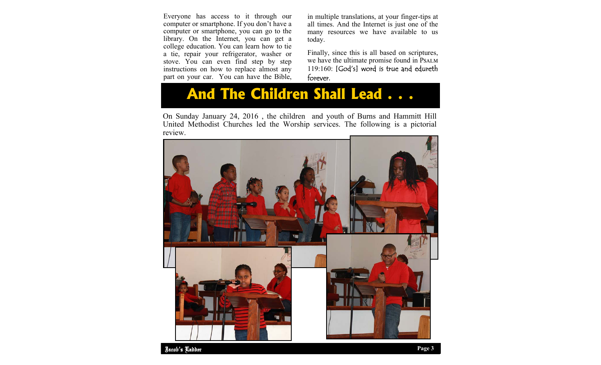Everyone has access to it through our computer or smartphone. If you don't have a computer or smartphone, you can go to the library. On the Internet, you can get a college education. You can learn how to tie a tie, repair your refrigerator, washer or stove. You can even find step by step instructions on how to replace almost any part on your car. You can have the Bible,

in multiple translations, at your finger-tips at all times. And the Internet is just one of the many resources we have available to us today.

Finally, since this is all based on scriptures, we have the ultimate promise found in PSALM 119:160: [God's] word is true and edureth forever.

## **And The Children Shall Lead . . .**

On Sunday January 24, 2016 , the children and youth of Burns and Hammitt Hill United Methodist Churches led the Worship services. The following is a pictorial review.